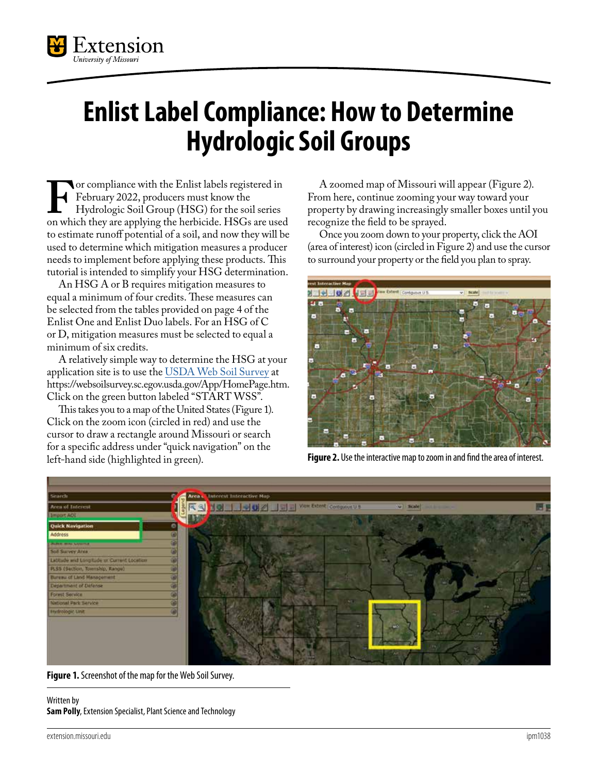

## **Enlist Label Compliance: How to Determine Hydrologic Soil Groups**

**F**or compliance with the Enlist labels registered in February 2022, producers must know the Hydrologic Soil Group (HSG) for the soil series on which they are applying the herbicide. HSGs are used February 2022, producers must know the Hydrologic Soil Group (HSG) for the soil series to estimate runoff potential of a soil, and now they will be used to determine which mitigation measures a producer needs to implement before applying these products. This tutorial is intended to simplify your HSG determination.

An HSG A or B requires mitigation measures to equal a minimum of four credits. These measures can be selected from the tables provided on page 4 of the Enlist One and Enlist Duo labels. For an HSG of C or D, mitigation measures must be selected to equal a minimum of six credits.

A relatively simple way to determine the HSG at your application site is to use the [USDA Web Soil Survey](https://websoilsurvey.sc.egov.usda.gov/App/HomePage.htm) at <https://websoilsurvey.sc.egov.usda.gov/App/HomePage.htm>. Click on the green button labeled "START WSS".

This takes you to a map of the United States (Figure 1). Click on the zoom icon (circled in red) and use the cursor to draw a rectangle around Missouri or search for a specific address under "quick navigation" on the left-hand side (highlighted in green).

A zoomed map of Missouri will appear (Figure 2). From here, continue zooming your way toward your property by drawing increasingly smaller boxes until you recognize the field to be sprayed.

Once you zoom down to your property, click the AOI (area of interest) icon (circled in Figure 2) and use the cursor to surround your property or the field you plan to spray.



**Figure 2.** Use the interactive map to zoom in and find the area of interest.



**Figure 1.** Screenshot of the map for the Web Soil Survey.

## Written by **Sam Polly**, Extension Specialist, Plant Science and Technology